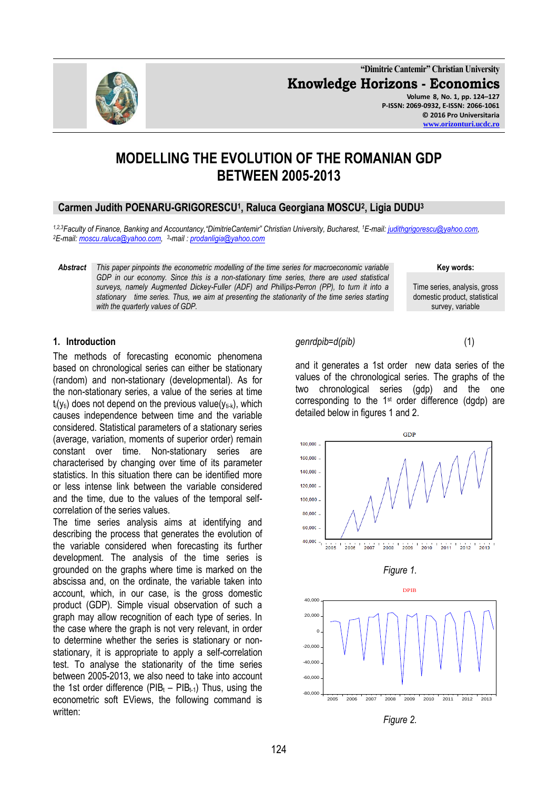**"Dimitrie Cantemir" Christian University Knowledge Horizons - Economics Volume 8, No. 1, pp. 124–127 P-ISSN: 2069-0932, E-ISSN: 2066-1061 © 2016 Pro Universitaria [www.orizonturi.ucdc.ro](http://www.orizonturi.ucdc.ro/)**

# **MODELLING THE EVOLUTION OF THE ROMANIAN GDP BETWEEN 2005-2013**

## **Carmen Judith POENARU-GRIGORESCU<sup>1</sup> , Raluca Georgiana MOSCU<sup>2</sup> , Ligia DUDU<sup>3</sup>**

*1,2,3Faculty of Finance, Banking and Accountancy,"DimitrieCantemir" Christian University, Bucharest, <sup>1</sup>E-mail[: judithgrigorescu@yahoo.com,](mailto:judithgrigorescu@yahoo.com)  <sup>2</sup>E-mail[: moscu.raluca@yahoo.com,](mailto:moscu.raluca@yahoo.com)  3 -mail : [prodanligia@yahoo.com](mailto:prodanligia@yahoo.com)*

*Abstract This paper pinpoints the econometric modelling of the time series for macroeconomic variable GDP in our economy. Since this is a non-stationary time series, there are used statistical surveys, namely Augmented Dickey-Fuller (ADF) and Phillips-Perron (PP), to turn it into a stationary time series. Thus, we aim at presenting the stationarity of the time series starting with the quarterly values of GDP.*

## **1. Introduction**

The methods of forecasting economic phenomena based on chronological series can either be stationary (random) and non-stationary (developmental). As for the non-stationary series, a value of the series at time  $t_i(y_{ti})$  does not depend on the previous value( $y_{ti-k}$ ), which causes independence between time and the variable considered. Statistical parameters of a stationary series (average, variation, moments of superior order) remain constant over time. Non-stationary series are characterised by changing over time of its parameter statistics. In this situation there can be identified more or less intense link between the variable considered and the time, due to the values of the temporal selfcorrelation of the series values.

The time series analysis aims at identifying and describing the process that generates the evolution of the variable considered when forecasting its further development. The analysis of the time series is grounded on the graphs where time is marked on the abscissa and, on the ordinate, the variable taken into account, which, in our case, is the gross domestic product (GDP). Simple visual observation of such a graph may allow recognition of each type of series. In the case where the graph is not very relevant, in order to determine whether the series is stationary or nonstationary, it is appropriate to apply a self-correlation test. To analyse the stationarity of the time series between 2005-2013, we also need to take into account the 1st order difference (PIB<sub>t</sub> – PIB<sub>t-1</sub>) Thus, using the econometric soft EViews, the following command is written:

#### *genrdpib=d(pib)* (1)

180,000 160,000 140,000  $120,000$ . 100.000 80,000 60,000 40,000  $-$ 

2005

and it generates a 1st order new data series of the values of the chronological series. The graphs of the two chronological series (gdp) and the one corresponding to the  $1<sup>st</sup>$  order difference (dgdp) are detailed below in figures 1 and 2.

GDP



2006 2007 2008 2009 2010 2011 2012 2013





domestic product, statistical survey, variable

**Key words:** Time series, analysis, gross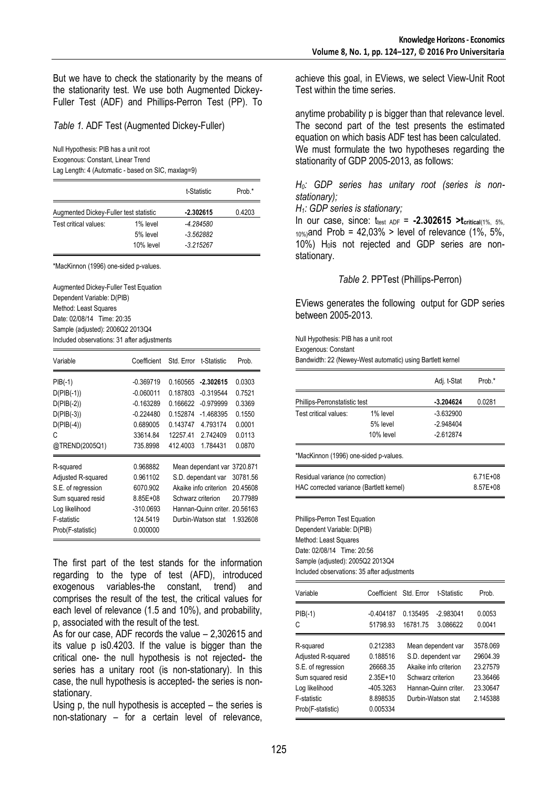But we have to check the stationarity by the means of the stationarity test. We use both Augmented Dickey-Fuller Test (ADF) and Phillips-Perron Test (PP). To

## *Table 1.* ADF Test (Augmented Dickey-Fuller)

Null Hypothesis: PIB has a unit root Exogenous: Constant, Linear Trend

Lag Length: 4 (Automatic - based on SIC, maxlag=9)

|                                        |           | t-Statistic | Prob.* |
|----------------------------------------|-----------|-------------|--------|
| Augmented Dickey-Fuller test statistic |           | $-2.302615$ | 0.4203 |
| Test critical values:                  | 1% level  | -4.284580   |        |
|                                        | 5% level  | $-3.562882$ |        |
|                                        | 10% level | $-3.215267$ |        |

\*MacKinnon (1996) one-sided p-values.

Augmented Dickey-Fuller Test Equation Dependent Variable: D(PIB) Method: Least Squares Date: 02/08/14 Time: 20:35 Sample (adjusted): 2006Q2 2013Q4 Included observations: 31 after adjustments

| Variable           | Coefficient  | Std. Error t-Statistic |                               | Prob.    |
|--------------------|--------------|------------------------|-------------------------------|----------|
| $PIB(-1)$          | $-0.369719$  | 0.160565               | $-2.302615$                   | 0.0303   |
| $D(PIB(-1))$       | $-0.060011$  | 0.187803               | $-0.319544$                   | 0.7521   |
| $D(PIB(-2))$       | $-0.163289$  | 0.166622               | $-0.979999$                   | 0.3369   |
| $D(PIB(-3))$       | $-0.224480$  | 0.152874               | $-1.468395$                   | 0.1550   |
| $D(PIB(-4))$       | 0.689005     | 0.143747               | 4.793174                      | 0.0001   |
| C                  | 33614.84     | 12257.41               | 2.742409                      | 0.0113   |
| @TREND(2005Q1)     | 735.8998     | 412,4003               | 1.784431                      | 0.0870   |
| R-squared          | 0.968882     |                        | Mean dependant var            | 3720.871 |
| Adjusted R-squared | 0.961102     |                        | S.D. dependant var            | 30781.56 |
| S.E. of regression | 6070.902     |                        | Akaike info criterion         | 20.45608 |
| Sum squared resid  | $8.85E + 08$ | Schwarz criterion      |                               | 20.77989 |
| Log likelihood     | $-310.0693$  |                        | Hannan-Quinn criter, 20,56163 |          |
| F-statistic        | 124.5419     |                        | Durbin-Watson stat            | 1.932608 |
| Prob(F-statistic)  | 0.000000     |                        |                               |          |

The first part of the test stands for the information regarding to the type of test (AFD), introduced exogenous variables-the constant, trend) and comprises the result of the test, the critical values for each level of relevance (1.5 and 10%), and probability, p, associated with the result of the test.

As for our case, ADF records the value – 2,302615 and its value p is0.4203. If the value is bigger than the critical one- the null hypothesis is not rejected- the series has a unitary root (is non-stationary). In this case, the null hypothesis is accepted- the series is nonstationary.

Using p, the null hypothesis is accepted – the series is non-stationary – for a certain level of relevance, achieve this goal, in EViews, we select View-Unit Root Test within the time series.

anytime probability p is bigger than that relevance level. The second part of the test presents the estimated equation on which basis ADF test has been calculated. We must formulate the two hypotheses regarding the stationarity of GDP 2005-2013, as follows:

## *H0: GDP series has unitary root (series is nonstationary);*

#### *H1: GDP series is stationary;*

In our case, since: ttest ADF = **-2.302615 >tcritical**(1%, 5%,  $_{10\%}$  and Prob = 42,03% > level of relevance (1%, 5%,  $10\%$ ) H<sub>0</sub>is not rejected and GDP series are nonstationary.

## *Table 2*. PPTest (Phillips-Perron)

EViews generates the following output for GDP series between 2005-2013.

Null Hypothesis: PIB has a unit root Exogenous: Constant Bandwidth: 22 (Newey-West automatic) using Bartlett kernel

|                                                                                                                                                                                                       |                        |          | Adj. t-Stat | Prob.*       |
|-------------------------------------------------------------------------------------------------------------------------------------------------------------------------------------------------------|------------------------|----------|-------------|--------------|
| Phillips-Perronstatistic test                                                                                                                                                                         |                        |          | $-3.204624$ | 0.0281       |
| Test critical values:                                                                                                                                                                                 | 1% level               |          | $-3.632900$ |              |
|                                                                                                                                                                                                       | 5% level               |          | $-2948404$  |              |
|                                                                                                                                                                                                       | 10% level              |          | $-2.612874$ |              |
| *MacKinnon (1996) one-sided p-values.                                                                                                                                                                 |                        |          |             |              |
| Residual variance (no correction)                                                                                                                                                                     |                        |          |             | $6.71E + 08$ |
| HAC corrected variance (Bartlett kernel)                                                                                                                                                              |                        |          |             | 8.57E+08     |
| Phillips-Perron Test Equation<br>Dependent Variable: D(PIB)<br>Method: Least Squares<br>Date: 02/08/14 Time: 20:56<br>Sample (adjusted): 2005Q2 2013Q4<br>Included observations: 35 after adjustments |                        |          |             |              |
| Variable                                                                                                                                                                                              | Coefficient Std. Error |          | t-Statistic | Prob.        |
| $PIB(-1)$                                                                                                                                                                                             | $-0.404187$            | 0.135495 | $-2.983041$ | 0.0053       |
| C                                                                                                                                                                                                     | 51798.93               | 16781.75 | 3.086622    | 0.0041       |

| C<br>51798.93                                                  | 16781.75 | 3.086622                                  | 0.0041               |
|----------------------------------------------------------------|----------|-------------------------------------------|----------------------|
| 0.212383<br>R-squared<br>Adjusted R-squared<br>0.188516        |          | Mean dependent var<br>S.D. dependent var  | 3578.069<br>29604.39 |
| S.E. of regression<br>26668.35                                 |          | Akaike info criterion                     | 23.27579             |
| Sum squared resid<br>$2.35E+10$<br>Log likelihood<br>-405.3263 |          | Schwarz criterion<br>Hannan-Quinn criter. | 23.36466<br>23.30647 |
| 8.898535<br>F-statistic<br>0.005334<br>Prob(F-statistic)       |          | Durbin-Watson stat                        | 2.145388             |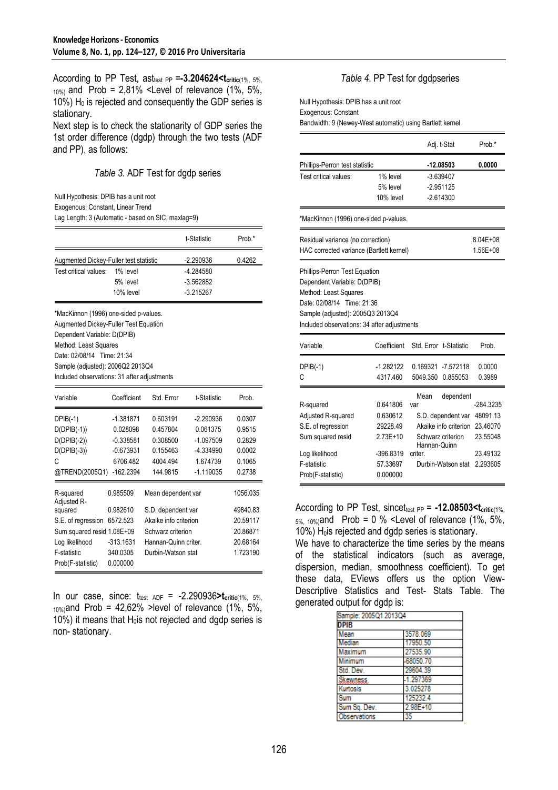According to PP Test, asttest PP =**-3.204624<tcritic**(1%, 5%,  $_{10\%}$  and Prob = 2,81% <Level of relevance (1%, 5%, 10%)  $H_0$  is rejected and consequently the GDP series is stationary.

Next step is to check the stationarity of GDP series the 1st order difference (dgdp) through the two tests (ADF and PP), as follows:

## *Table 3.* ADF Test for dgdp series

Null Hypothesis: DPIB has a unit root

Exogenous: Constant, Linear Trend

Lag Length: 3 (Automatic - based on SIC, maxlag=9)

|                                             |                            |                       | t-Statistic       | Prob.*   |
|---------------------------------------------|----------------------------|-----------------------|-------------------|----------|
| Augmented Dickey-Fuller test statistic      |                            |                       | $-2.290936$       | 0.4262   |
| Test critical values:                       | 1% level                   |                       | -4.284580         |          |
|                                             | 5% level                   |                       | $-3.562882$       |          |
|                                             | 10% level                  |                       | $-3.215267$       |          |
| *MacKinnon (1996) one-sided p-values.       |                            |                       |                   |          |
| Augmented Dickey-Fuller Test Equation       |                            |                       |                   |          |
| Dependent Variable: D(DPIB)                 |                            |                       |                   |          |
| Method: Least Squares                       |                            |                       |                   |          |
| Date: 02/08/14 Time: 21:34                  |                            |                       |                   |          |
| Sample (adjusted): 2006Q2 2013Q4            |                            |                       |                   |          |
| Included observations: 31 after adjustments |                            |                       |                   |          |
| Variable                                    | Coefficient                | Std. Error            | t-Statistic       | Prob.    |
| $DPIB(-1)$                                  | $-1.381871$                | 0.603191              | $-2.290936$       | 0.0307   |
| $D(DPIB(-1))$                               | 0.028098                   | 0.457804              | 0.061375          | 0.9515   |
| $D(DPIB(-2))$                               | $-0.338581$                | 0.308500              | $-1.097509$       | 0.2829   |
| $D(DPIB(-3))$                               | $-0.673931$                | 0.155463              | -4.334990         | 0.0002   |
| C                                           | 6706.482                   | 4004.494              | 1.674739          | 0.1065   |
| @TREND(2005Q1)                              | $-162.2394$                | 144.9815              | $-1.119035$       | 0.2738   |
| R-squared<br>Adjusted R-                    | 0.985509                   | Mean dependent var    |                   | 1056.035 |
| squared                                     | 0.982610                   | S.D. dependent var    |                   | 49840.83 |
| S.E. of regression                          | 6572.523                   | Akaike info criterion |                   | 20.59117 |
|                                             | Sum squared resid 1.08E+09 |                       | Schwarz criterion |          |
| Log likelihood                              | $-313.1631$                | Hannan-Quinn criter.  |                   | 20.68164 |
| F-statistic                                 | 340.0305                   | Durbin-Watson stat    |                   | 1.723190 |
| Prob(F-statistic)                           | 0.000000                   |                       |                   |          |

In our case, since:  $t_{test, ADF} = -2.290936 > t_{critic(1\%)}$ , 5%,  $10\%$ ) and Prob = 42,62% > level of relevance (1%, 5%, 10%) it means that  $H<sub>0</sub>$ is not rejected and dgdp series is non- stationary.

## *Table 4*. PP Test for dgdpseries

Null Hypothesis: DPIB has a unit root Exogenous: Constant Bandwidth: 9 (Newey-West automatic) using Bartlett kernel

|                                                                                                                                                                       |                                                                       |                                       | Adj. t-Stat                                                                                         | Prob.*                                                                |
|-----------------------------------------------------------------------------------------------------------------------------------------------------------------------|-----------------------------------------------------------------------|---------------------------------------|-----------------------------------------------------------------------------------------------------|-----------------------------------------------------------------------|
| Phillips-Perron test statistic                                                                                                                                        |                                                                       |                                       | $-12.08503$                                                                                         | 0.0000                                                                |
| Test critical values:                                                                                                                                                 | 1% level                                                              |                                       | $-3.639407$                                                                                         |                                                                       |
|                                                                                                                                                                       | 5% level                                                              |                                       | $-2.951125$                                                                                         |                                                                       |
|                                                                                                                                                                       | 10% level                                                             |                                       | $-2.614300$                                                                                         |                                                                       |
| *MacKinnon (1996) one-sided p-values.                                                                                                                                 |                                                                       |                                       |                                                                                                     |                                                                       |
| Residual variance (no correction)                                                                                                                                     |                                                                       |                                       |                                                                                                     | 8.04E+08                                                              |
| HAC corrected variance (Bartlett kernel)                                                                                                                              |                                                                       |                                       |                                                                                                     | 1.56E+08                                                              |
| Dependent Variable: D(DPIB)<br>Method: Least Squares<br>Date: 02/08/14 Time: 21:36<br>Sample (adjusted): 2005Q3 2013Q4<br>Included observations: 34 after adjustments |                                                                       |                                       |                                                                                                     |                                                                       |
| Variable                                                                                                                                                              | Coefficient                                                           |                                       | Std. Error t-Statistic                                                                              | Prob.                                                                 |
| $DPIB(-1)$                                                                                                                                                            | $-1.282122$                                                           |                                       | 0 169321 -7 572118                                                                                  | 0.0000                                                                |
| C                                                                                                                                                                     | 4317.460                                                              | 5049.350                              | 0.855053                                                                                            | 0.3989                                                                |
| R-squared<br>Adjusted R-squared<br>S.E. of regression<br>Sum squared resid<br>Log likelihood<br>F-statistic                                                           | 0.641806<br>0.630612<br>29228.49<br>2.73E+10<br>-396.8319<br>57.33697 | Mean<br>var<br>Hannan-Quinn<br>criter | dependent<br>S.D. dependent var<br>Akaike info criterion<br>Schwarz criterion<br>Durbin-Watson stat | -284.3235<br>48091.13<br>23.46070<br>23.55048<br>23.49132<br>2 293605 |
| Prob(F-statistic)                                                                                                                                                     | 0.000000                                                              |                                       |                                                                                                     |                                                                       |

According to PP Test, sincet<sub>test PP</sub> = -12.08503<t<sub>critic</sub>(1%,  $5\%$ , 10%)and Prob = 0 % <Level of relevance (1%, 5%,  $10\%$ ) H<sub>0</sub>is rejected and dgdp series is stationary.

We have to characterize the time series by the means of the statistical indicators (such as average, dispersion, median, smoothness coefficient). To get these data, EViews offers us the option View-Descriptive Statistics and Test- Stats Table. The generated output for dgdp is:

| Sample: 2005Q1 2013Q4 |          |
|-----------------------|----------|
| <b>DPIB</b>           |          |
| Mean                  | 3578.069 |
| Median                | 17950.50 |
| Maximum               | 27535.90 |
| Minimum               | 68050.70 |
| Std. Dev.             | 29604.39 |
| <b>Skewness</b>       | 1.297369 |
| Kurtosis              | 3.025278 |
| Sum                   | 125232.4 |
| Sum Sa. Dev.          | 2.98E+10 |
| Observations          | 35       |